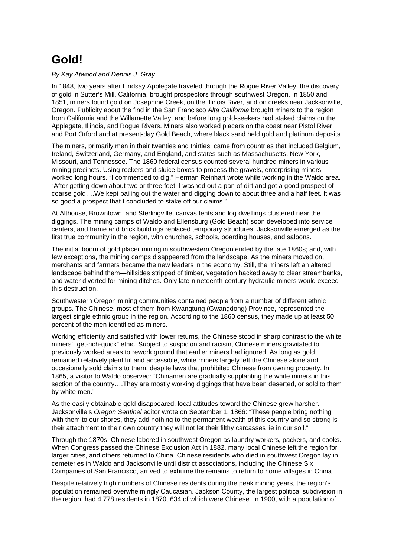## **Gold!**

## By Kay Atwood and Dennis J. Gray

In 1848, two years after Lindsay Applegate traveled through the Rogue River Valley, the discovery of gold in Sutter's Mill, California, brought prospectors through southwest Oregon. In 1850 and 1851, miners found gold on Josephine Creek, on the Illinois River, and on creeks near Jacksonville, Oregon. Publicity about the find in the San Francisco Alta California brought miners to the region from California and the Willamette Valley, and before long gold-seekers had staked claims on the Applegate, Illinois, and Rogue Rivers. Miners also worked placers on the coast near Pistol River and Port Orford and at present-day Gold Beach, where black sand held gold and platinum deposits.

The miners, primarily men in their twenties and thirties, came from countries that included Belgium, Ireland, Switzerland, Germany, and England, and states such as Massachusetts, New York, Missouri, and Tennessee. The 1860 federal census counted several hundred miners in various mining precincts. Using rockers and sluice boxes to process the gravels, enterprising miners worked long hours. "I commenced to dig," Herman Reinhart wrote while working in the Waldo area. "After getting down about two or three feet, I washed out a pan of dirt and got a good prospect of coarse gold….We kept bailing out the water and digging down to about three and a half feet. It was so good a prospect that I concluded to stake off our claims."

At Althouse, Browntown, and Sterlingville, canvas tents and log dwellings clustered near the diggings. The mining camps of Waldo and Ellensburg (Gold Beach) soon developed into service centers, and frame and brick buildings replaced temporary structures. Jacksonville emerged as the first true community in the region, with churches, schools, boarding houses, and saloons.

The initial boom of gold placer mining in southwestern Oregon ended by the late 1860s; and, with few exceptions, the mining camps disappeared from the landscape. As the miners moved on, merchants and farmers became the new leaders in the economy. Still, the miners left an altered landscape behind them—hillsides stripped of timber, vegetation hacked away to clear streambanks, and water diverted for mining ditches. Only late-nineteenth-century hydraulic miners would exceed this destruction.

Southwestern Oregon mining communities contained people from a number of different ethnic groups. The Chinese, most of them from Kwangtung (Gwangdong) Province, represented the largest single ethnic group in the region. According to the 1860 census, they made up at least 50 percent of the men identified as miners.

Working efficiently and satisfied with lower returns, the Chinese stood in sharp contrast to the white miners' "get-rich-quick" ethic. Subject to suspicion and racism, Chinese miners gravitated to previously worked areas to rework ground that earlier miners had ignored. As long as gold remained relatively plentiful and accessible, white miners largely left the Chinese alone and occasionally sold claims to them, despite laws that prohibited Chinese from owning property. In 1865, a visitor to Waldo observed: "Chinamen are gradually supplanting the white miners in this section of the country….They are mostly working diggings that have been deserted, or sold to them by white men."

As the easily obtainable gold disappeared, local attitudes toward the Chinese grew harsher. Jacksonville's Oregon Sentinel editor wrote on September 1, 1866: "These people bring nothing with them to our shores, they add nothing to the permanent wealth of this country and so strong is their attachment to their own country they will not let their filthy carcasses lie in our soil."

Through the 1870s, Chinese labored in southwest Oregon as laundry workers, packers, and cooks. When Congress passed the Chinese Exclusion Act in 1882, many local Chinese left the region for larger cities, and others returned to China. Chinese residents who died in southwest Oregon lay in cemeteries in Waldo and Jacksonville until district associations, including the Chinese Six Companies of San Francisco, arrived to exhume the remains to return to home villages in China.

Despite relatively high numbers of Chinese residents during the peak mining years, the region's population remained overwhelmingly Caucasian. Jackson County, the largest political subdivision in the region, had 4,778 residents in 1870, 634 of which were Chinese. In 1900, with a population of